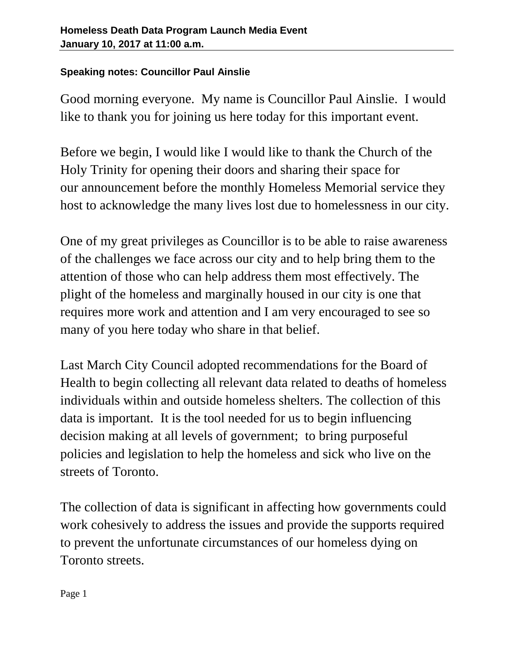## **Speaking notes: Councillor Paul Ainslie**

Good morning everyone. My name is Councillor Paul Ainslie. I would like to thank you for joining us here today for this important event.

Before we begin, I would like I would like to thank the Church of the Holy Trinity for opening their doors and sharing their space for our announcement before the monthly Homeless Memorial service they host to acknowledge the many lives lost due to homelessness in our city.

One of my great privileges as Councillor is to be able to raise awareness of the challenges we face across our city and to help bring them to the attention of those who can help address them most effectively. The plight of the homeless and marginally housed in our city is one that requires more work and attention and I am very encouraged to see so many of you here today who share in that belief.

Last March City Council adopted recommendations for the Board of Health to begin collecting all relevant data related to deaths of homeless individuals within and outside homeless shelters. The collection of this data is important. It is the tool needed for us to begin influencing decision making at all levels of government; to bring purposeful policies and legislation to help the homeless and sick who live on the streets of Toronto.

The collection of data is significant in affecting how governments could work cohesively to address the issues and provide the supports required to prevent the unfortunate circumstances of our homeless dying on Toronto streets.

Page 1